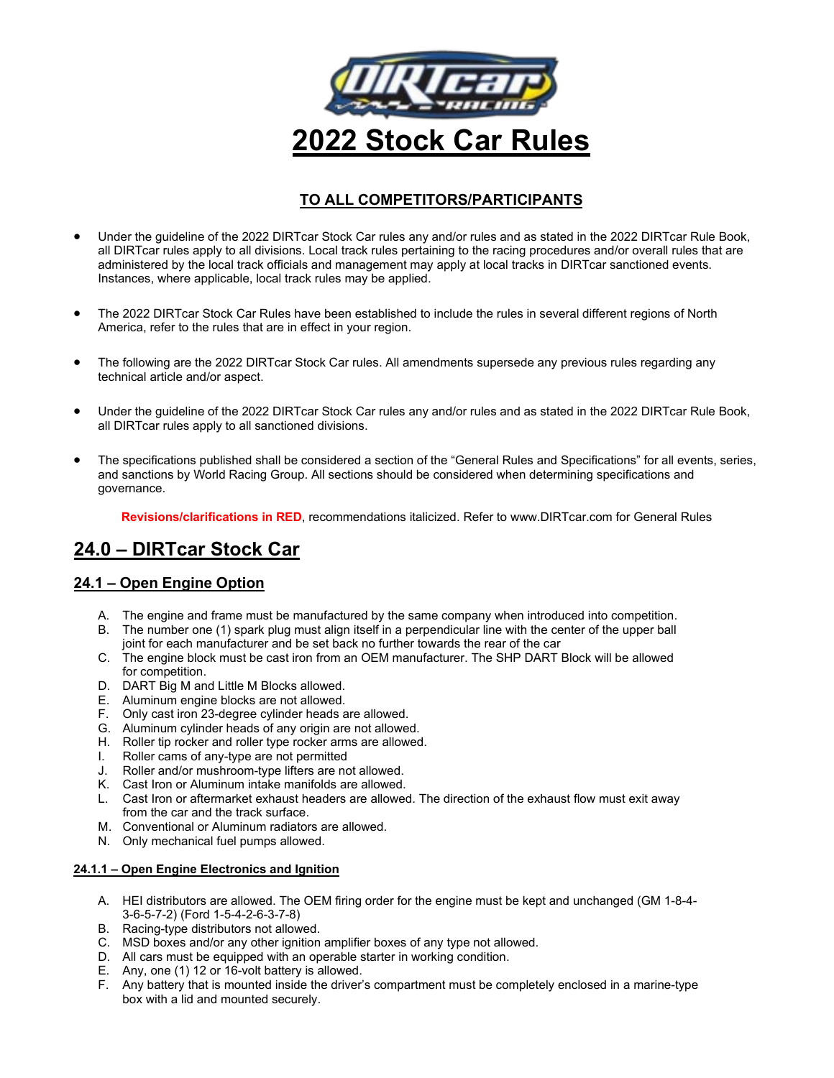

# **TO ALL COMPETITORS/PARTICIPANTS**

- Under the guideline of the 2022 DIRTcar Stock Car rules any and/or rules and as stated in the 2022 DIRTcar Rule Book, all DIRTcar rules apply to all divisions. Local track rules pertaining to the racing procedures and/or overall rules that are administered by the local track officials and management may apply at local tracks in DIRTcar sanctioned events. Instances, where applicable, local track rules may be applied.
- The 2022 DIRTcar Stock Car Rules have been established to include the rules in several different regions of North America, refer to the rules that are in effect in your region.
- The following are the 2022 DIRTcar Stock Car rules. All amendments supersede any previous rules regarding any technical article and/or aspect.
- Under the guideline of the 2022 DIRTcar Stock Car rules any and/or rules and as stated in the 2022 DIRTcar Rule Book, all DIRTcar rules apply to all sanctioned divisions.
- The specifications published shall be considered a section of the "General Rules and Specifications" for all events, series, and sanctions by World Racing Group. All sections should be considered when determining specifications and governance.

**Revisions/clarifications in RED**, recommendations italicized. Refer to www.DIRTcar.com for General Rules

# **24.0 – DIRTcar Stock Car**

# **24.1 – Open Engine Option**

- A. The engine and frame must be manufactured by the same company when introduced into competition.
- B. The number one (1) spark plug must align itself in a perpendicular line with the center of the upper ball joint for each manufacturer and be set back no further towards the rear of the car
- C. The engine block must be cast iron from an OEM manufacturer. The SHP DART Block will be allowed for competition.
- D. DART Big M and Little M Blocks allowed.
- E. Aluminum engine blocks are not allowed.
- F. Only cast iron 23-degree cylinder heads are allowed.
- G. Aluminum cylinder heads of any origin are not allowed.
- H. Roller tip rocker and roller type rocker arms are allowed.
- I. Roller cams of any-type are not permitted
- J. Roller and/or mushroom-type lifters are not allowed.
- K. Cast Iron or Aluminum intake manifolds are allowed.
- L. Cast Iron or aftermarket exhaust headers are allowed. The direction of the exhaust flow must exit away from the car and the track surface.
- M. Conventional or Aluminum radiators are allowed.
- N. Only mechanical fuel pumps allowed.

### **24.1.1 – Open Engine Electronics and Ignition**

- A. HEI distributors are allowed. The OEM firing order for the engine must be kept and unchanged (GM 1-8-4- 3-6-5-7-2) (Ford 1-5-4-2-6-3-7-8)
- B. Racing-type distributors not allowed.
- C. MSD boxes and/or any other ignition amplifier boxes of any type not allowed.
- D. All cars must be equipped with an operable starter in working condition.
- E. Any, one (1) 12 or 16-volt battery is allowed.
- F. Any battery that is mounted inside the driver's compartment must be completely enclosed in a marine-type box with a lid and mounted securely.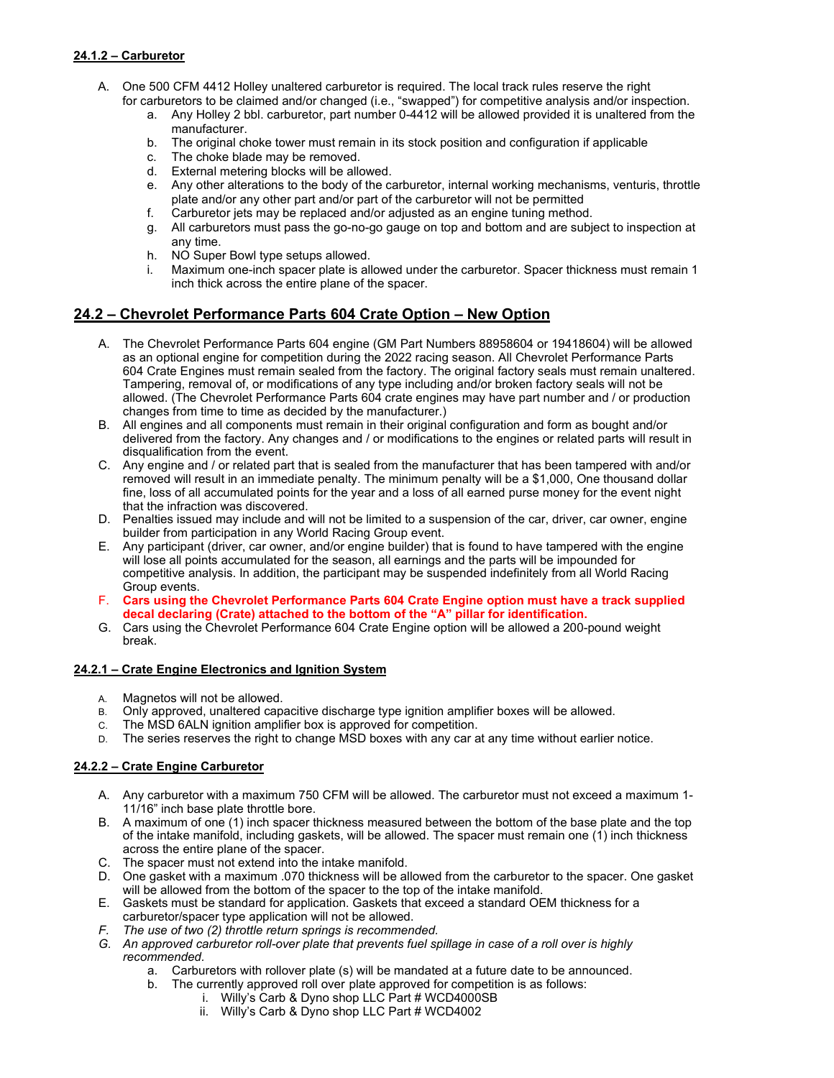### **24.1.2 – Carburetor**

- A. One 500 CFM 4412 Holley unaltered carburetor is required. The local track rules reserve the right for carburetors to be claimed and/or changed (i.e., "swapped") for competitive analysis and/or inspection.
	- a. Any Holley 2 bbl. carburetor, part number 0-4412 will be allowed provided it is unaltered from the manufacturer.
	- b. The original choke tower must remain in its stock position and configuration if applicable
	- c. The choke blade may be removed.
	- d. External metering blocks will be allowed.
	- e. Any other alterations to the body of the carburetor, internal working mechanisms, venturis, throttle plate and/or any other part and/or part of the carburetor will not be permitted
	- f. Carburetor jets may be replaced and/or adjusted as an engine tuning method.
	- g. All carburetors must pass the go-no-go gauge on top and bottom and are subject to inspection at any time.
	- h. NO Super Bowl type setups allowed.
	- i. Maximum one-inch spacer plate is allowed under the carburetor. Spacer thickness must remain 1 inch thick across the entire plane of the spacer.

# **24.2 – Chevrolet Performance Parts 604 Crate Option – New Option**

- A. The Chevrolet Performance Parts 604 engine (GM Part Numbers 88958604 or 19418604) will be allowed as an optional engine for competition during the 2022 racing season. All Chevrolet Performance Parts 604 Crate Engines must remain sealed from the factory. The original factory seals must remain unaltered. Tampering, removal of, or modifications of any type including and/or broken factory seals will not be allowed. (The Chevrolet Performance Parts 604 crate engines may have part number and / or production changes from time to time as decided by the manufacturer.)
- B. All engines and all components must remain in their original configuration and form as bought and/or delivered from the factory. Any changes and / or modifications to the engines or related parts will result in disqualification from the event.
- C. Any engine and / or related part that is sealed from the manufacturer that has been tampered with and/or removed will result in an immediate penalty. The minimum penalty will be a \$1,000, One thousand dollar fine, loss of all accumulated points for the year and a loss of all earned purse money for the event night that the infraction was discovered.
- D. Penalties issued may include and will not be limited to a suspension of the car, driver, car owner, engine builder from participation in any World Racing Group event.
- E. Any participant (driver, car owner, and/or engine builder) that is found to have tampered with the engine will lose all points accumulated for the season, all earnings and the parts will be impounded for competitive analysis. In addition, the participant may be suspended indefinitely from all World Racing Group events.
- F. **Cars using the Chevrolet Performance Parts 604 Crate Engine option must have a track supplied decal declaring (Crate) attached to the bottom of the "A" pillar for identification.**
- G. Cars using the Chevrolet Performance 604 Crate Engine option will be allowed a 200-pound weight break.

### **24.2.1 – Crate Engine Electronics and Ignition System**

- A. Magnetos will not be allowed.
- B. Only approved, unaltered capacitive discharge type ignition amplifier boxes will be allowed.
- C. The MSD 6ALN ignition amplifier box is approved for competition.
- D. The series reserves the right to change MSD boxes with any car at any time without earlier notice.

### **24.2.2 – Crate Engine Carburetor**

- A. Any carburetor with a maximum 750 CFM will be allowed. The carburetor must not exceed a maximum 1- 11/16" inch base plate throttle bore.
- B. A maximum of one (1) inch spacer thickness measured between the bottom of the base plate and the top of the intake manifold, including gaskets, will be allowed. The spacer must remain one (1) inch thickness across the entire plane of the spacer.
- C. The spacer must not extend into the intake manifold.
- D. One gasket with a maximum .070 thickness will be allowed from the carburetor to the spacer. One gasket will be allowed from the bottom of the spacer to the top of the intake manifold.
- E. Gaskets must be standard for application. Gaskets that exceed a standard OEM thickness for a carburetor/spacer type application will not be allowed.
- *F. The use of two (2) throttle return springs is recommended.*
- *G. An approved carburetor roll-over plate that prevents fuel spillage in case of a roll over is highly recommended.*
	- a. Carburetors with rollover plate (s) will be mandated at a future date to be announced.
	- b. The currently approved roll over plate approved for competition is as follows:
		- i. Willy's Carb & Dyno shop LLC Part # WCD4000SB
		- ii. Willy's Carb & Dyno shop LLC Part # WCD4002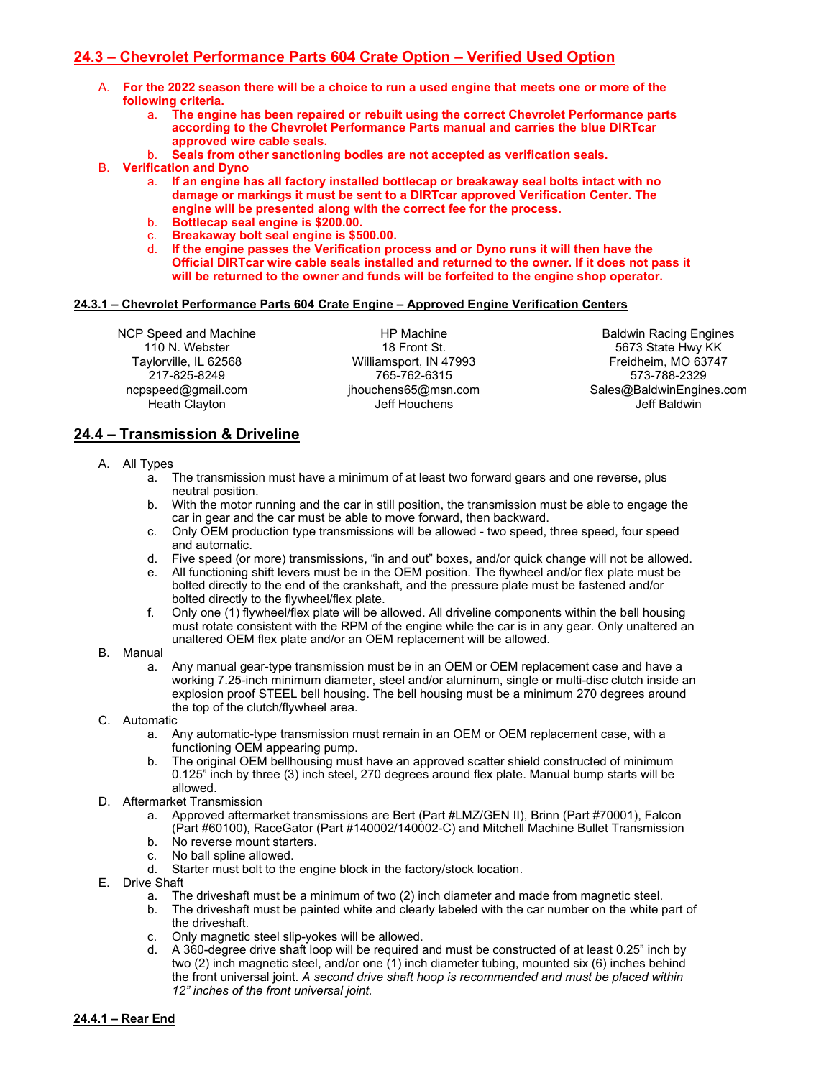# **24.3 – Chevrolet Performance Parts 604 Crate Option – Verified Used Option**

- A. **For the 2022 season there will be a choice to run a used engine that meets one or more of the following criteria.**
	- a. **The engine has been repaired or rebuilt using the correct Chevrolet Performance parts according to the Chevrolet Performance Parts manual and carries the blue DIRTcar approved wire cable seals.**
	- b. **Seals from other sanctioning bodies are not accepted as verification seals.**
- B. **Verification and Dyno**
	- a. **If an engine has all factory installed bottlecap or breakaway seal bolts intact with no damage or markings it must be sent to a DIRTcar approved Verification Center. The engine will be presented along with the correct fee for the process.**
	- b. **Bottlecap seal engine is \$200.00.**
	- c. **Breakaway bolt seal engine is \$500.00.**
	- d. **If the engine passes the Verification process and or Dyno runs it will then have the Official DIRTcar wire cable seals installed and returned to the owner. If it does not pass it will be returned to the owner and funds will be forfeited to the engine shop operator.**

#### **24.3.1 – Chevrolet Performance Parts 604 Crate Engine – Approved Engine Verification Centers**

NCP Speed and Machine 110 N. Webster Taylorville, IL 62568 217-825-8249 ncpspeed@gmail.com Heath Clayton

HP Machine 18 Front St. Williamsport, IN 47993 765-762-6315 jhouchens65@msn.com Jeff Houchens

Baldwin Racing Engines 5673 State Hwy KK Freidheim, MO 63747 573-788-2329 Sales@BaldwinEngines.com Jeff Baldwin

# **24.4 – Transmission & Driveline**

- A. All Types
	- a. The transmission must have a minimum of at least two forward gears and one reverse, plus neutral position.
	- b. With the motor running and the car in still position, the transmission must be able to engage the car in gear and the car must be able to move forward, then backward.
	- c. Only OEM production type transmissions will be allowed two speed, three speed, four speed and automatic.
	- d. Five speed (or more) transmissions, "in and out" boxes, and/or quick change will not be allowed.
	- e. All functioning shift levers must be in the OEM position. The flywheel and/or flex plate must be bolted directly to the end of the crankshaft, and the pressure plate must be fastened and/or bolted directly to the flywheel/flex plate.
	- f. Only one (1) flywheel/flex plate will be allowed. All driveline components within the bell housing must rotate consistent with the RPM of the engine while the car is in any gear. Only unaltered an unaltered OEM flex plate and/or an OEM replacement will be allowed.

#### B. Manual

- a. Any manual gear-type transmission must be in an OEM or OEM replacement case and have a working 7.25-inch minimum diameter, steel and/or aluminum, single or multi-disc clutch inside an explosion proof STEEL bell housing. The bell housing must be a minimum 270 degrees around the top of the clutch/flywheel area.
- C. Automatic
	- a. Any automatic-type transmission must remain in an OEM or OEM replacement case, with a functioning OEM appearing pump.
	- b. The original OEM bellhousing must have an approved scatter shield constructed of minimum 0.125" inch by three (3) inch steel, 270 degrees around flex plate. Manual bump starts will be allowed.
- D. Aftermarket Transmission
	- a. Approved aftermarket transmissions are Bert (Part #LMZ/GEN II), Brinn (Part #70001), Falcon (Part #60100), RaceGator (Part #140002/140002-C) and Mitchell Machine Bullet Transmission
	- b. No reverse mount starters.
	- c. No ball spline allowed.
	- d. Starter must bolt to the engine block in the factory/stock location.
- E. Drive Shaft
	- a. The driveshaft must be a minimum of two (2) inch diameter and made from magnetic steel.
	- b. The driveshaft must be painted white and clearly labeled with the car number on the white part of the driveshaft.
	- c. Only magnetic steel slip-yokes will be allowed.
	- d. A 360-degree drive shaft loop will be required and must be constructed of at least 0.25" inch by two (2) inch magnetic steel, and/or one (1) inch diameter tubing, mounted six (6) inches behind the front universal joint. *A second drive shaft hoop is recommended and must be placed within 12" inches of the front universal joint.*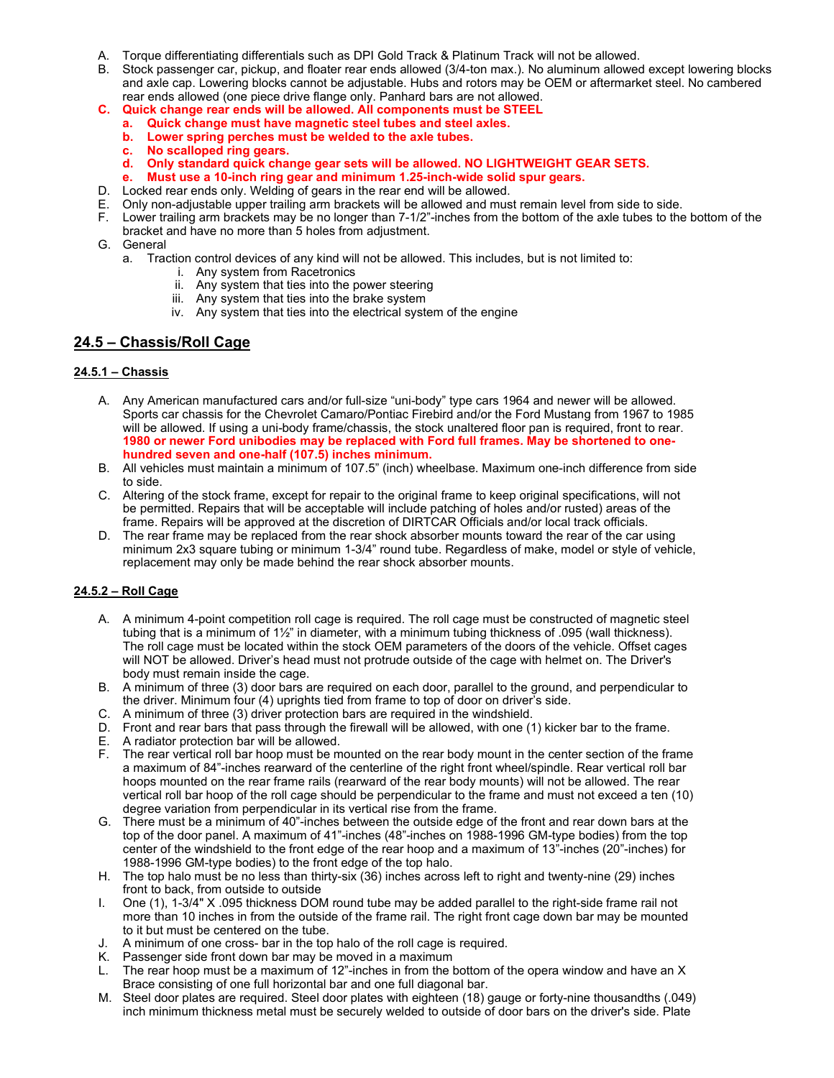- A. Torque differentiating differentials such as DPI Gold Track & Platinum Track will not be allowed.
- B. Stock passenger car, pickup, and floater rear ends allowed (3/4-ton max.). No aluminum allowed except lowering blocks and axle cap. Lowering blocks cannot be adjustable. Hubs and rotors may be OEM or aftermarket steel. No cambered rear ends allowed (one piece drive flange only. Panhard bars are not allowed.
- **C. Quick change rear ends will be allowed. All components must be STEEL**
	- **a. Quick change must have magnetic steel tubes and steel axles.**
		- **b. Lower spring perches must be welded to the axle tubes.**
		- **c. No scalloped ring gears.**
	- **d. Only standard quick change gear sets will be allowed. NO LIGHTWEIGHT GEAR SETS.**
	- **e. Must use a 10-inch ring gear and minimum 1.25-inch-wide solid spur gears.**
- D. Locked rear ends only. Welding of gears in the rear end will be allowed.
- E. Only non-adjustable upper trailing arm brackets will be allowed and must remain level from side to side.
- F. Lower trailing arm brackets may be no longer than 7-1/2"-inches from the bottom of the axle tubes to the bottom of the bracket and have no more than 5 holes from adjustment.
- G. General
	- a. Traction control devices of any kind will not be allowed. This includes, but is not limited to:
		- i. Any system from Racetronics
		- ii. Any system that ties into the power steering
		- iii. Any system that ties into the brake system
		- iv. Any system that ties into the electrical system of the engine

# **24.5 – Chassis/Roll Cage**

### **24.5.1 – Chassis**

- A. Any American manufactured cars and/or full-size "uni-body" type cars 1964 and newer will be allowed. Sports car chassis for the Chevrolet Camaro/Pontiac Firebird and/or the Ford Mustang from 1967 to 1985 will be allowed. If using a uni-body frame/chassis, the stock unaltered floor pan is required, front to rear. **1980 or newer Ford unibodies may be replaced with Ford full frames. May be shortened to onehundred seven and one-half (107.5) inches minimum.**
- B. All vehicles must maintain a minimum of 107.5" (inch) wheelbase. Maximum one-inch difference from side to side.
- C. Altering of the stock frame, except for repair to the original frame to keep original specifications, will not be permitted. Repairs that will be acceptable will include patching of holes and/or rusted) areas of the frame. Repairs will be approved at the discretion of DIRTCAR Officials and/or local track officials.
- D. The rear frame may be replaced from the rear shock absorber mounts toward the rear of the car using minimum 2x3 square tubing or minimum 1-3/4" round tube. Regardless of make, model or style of vehicle, replacement may only be made behind the rear shock absorber mounts.

### **24.5.2 – Roll Cage**

- A. A minimum 4-point competition roll cage is required. The roll cage must be constructed of magnetic steel tubing that is a minimum of 1½" in diameter, with a minimum tubing thickness of .095 (wall thickness). The roll cage must be located within the stock OEM parameters of the doors of the vehicle. Offset cages will NOT be allowed. Driver's head must not protrude outside of the cage with helmet on. The Driver's body must remain inside the cage.
- B. A minimum of three (3) door bars are required on each door, parallel to the ground, and perpendicular to the driver. Minimum four (4) uprights tied from frame to top of door on driver's side.
- C. A minimum of three (3) driver protection bars are required in the windshield.
- D. Front and rear bars that pass through the firewall will be allowed, with one (1) kicker bar to the frame.
- E. A radiator protection bar will be allowed.
- F. The rear vertical roll bar hoop must be mounted on the rear body mount in the center section of the frame a maximum of 84"-inches rearward of the centerline of the right front wheel/spindle. Rear vertical roll bar hoops mounted on the rear frame rails (rearward of the rear body mounts) will not be allowed. The rear vertical roll bar hoop of the roll cage should be perpendicular to the frame and must not exceed a ten (10) degree variation from perpendicular in its vertical rise from the frame.
- G. There must be a minimum of 40"-inches between the outside edge of the front and rear down bars at the top of the door panel. A maximum of 41"-inches (48"-inches on 1988-1996 GM-type bodies) from the top center of the windshield to the front edge of the rear hoop and a maximum of 13"-inches (20"-inches) for 1988-1996 GM-type bodies) to the front edge of the top halo.
- H. The top halo must be no less than thirty-six (36) inches across left to right and twenty-nine (29) inches front to back, from outside to outside
- I. One (1), 1-3/4" X .095 thickness DOM round tube may be added parallel to the right-side frame rail not more than 10 inches in from the outside of the frame rail. The right front cage down bar may be mounted to it but must be centered on the tube.
- J. A minimum of one cross- bar in the top halo of the roll cage is required.
- K. Passenger side front down bar may be moved in a maximum
- L. The rear hoop must be a maximum of 12"-inches in from the bottom of the opera window and have an X Brace consisting of one full horizontal bar and one full diagonal bar.
- M. Steel door plates are required. Steel door plates with eighteen (18) gauge or forty-nine thousandths (.049) inch minimum thickness metal must be securely welded to outside of door bars on the driver's side. Plate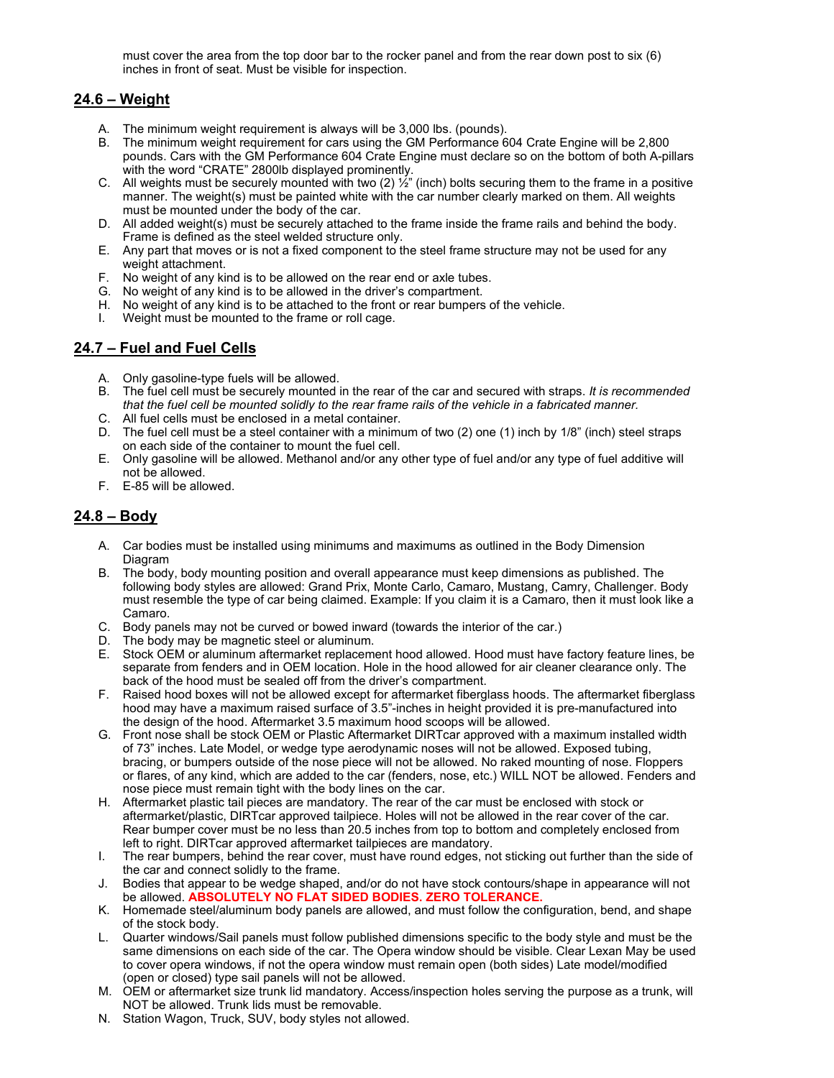must cover the area from the top door bar to the rocker panel and from the rear down post to six (6) inches in front of seat. Must be visible for inspection.

# **24.6 – Weight**

- A. The minimum weight requirement is always will be 3,000 lbs. (pounds).
- B. The minimum weight requirement for cars using the GM Performance 604 Crate Engine will be 2,800 pounds. Cars with the GM Performance 604 Crate Engine must declare so on the bottom of both A-pillars with the word "CRATE" 2800lb displayed prominently.
- C. All weights must be securely mounted with two  $(2)$   $\frac{1}{2}$ " (inch) bolts securing them to the frame in a positive manner. The weight(s) must be painted white with the car number clearly marked on them. All weights must be mounted under the body of the car.
- D. All added weight(s) must be securely attached to the frame inside the frame rails and behind the body. Frame is defined as the steel welded structure only.
- E. Any part that moves or is not a fixed component to the steel frame structure may not be used for any weight attachment.
- F. No weight of any kind is to be allowed on the rear end or axle tubes.
- G. No weight of any kind is to be allowed in the driver's compartment.
- H. No weight of any kind is to be attached to the front or rear bumpers of the vehicle.
- I. Weight must be mounted to the frame or roll cage.

# **24.7 – Fuel and Fuel Cells**

- A. Only gasoline-type fuels will be allowed.
- B. The fuel cell must be securely mounted in the rear of the car and secured with straps. *It is recommended that the fuel cell be mounted solidly to the rear frame rails of the vehicle in a fabricated manner.*
- C. All fuel cells must be enclosed in a metal container.
- D. The fuel cell must be a steel container with a minimum of two (2) one (1) inch by 1/8" (inch) steel straps on each side of the container to mount the fuel cell.
- E. Only gasoline will be allowed. Methanol and/or any other type of fuel and/or any type of fuel additive will not be allowed.
- F. E-85 will be allowed.

# **24.8 – Body**

- A. Car bodies must be installed using minimums and maximums as outlined in the Body Dimension Diagram
- B. The body, body mounting position and overall appearance must keep dimensions as published. The following body styles are allowed: Grand Prix, Monte Carlo, Camaro, Mustang, Camry, Challenger. Body must resemble the type of car being claimed. Example: If you claim it is a Camaro, then it must look like a Camaro.
- C. Body panels may not be curved or bowed inward (towards the interior of the car.)
- D. The body may be magnetic steel or aluminum.
- E. Stock OEM or aluminum aftermarket replacement hood allowed. Hood must have factory feature lines, be separate from fenders and in OEM location. Hole in the hood allowed for air cleaner clearance only. The back of the hood must be sealed off from the driver's compartment.
- F. Raised hood boxes will not be allowed except for aftermarket fiberglass hoods. The aftermarket fiberglass hood may have a maximum raised surface of 3.5"-inches in height provided it is pre-manufactured into the design of the hood. Aftermarket 3.5 maximum hood scoops will be allowed.
- G. Front nose shall be stock OEM or Plastic Aftermarket DIRTcar approved with a maximum installed width of 73" inches. Late Model, or wedge type aerodynamic noses will not be allowed. Exposed tubing, bracing, or bumpers outside of the nose piece will not be allowed. No raked mounting of nose. Floppers or flares, of any kind, which are added to the car (fenders, nose, etc.) WILL NOT be allowed. Fenders and nose piece must remain tight with the body lines on the car.
- H. Aftermarket plastic tail pieces are mandatory. The rear of the car must be enclosed with stock or aftermarket/plastic, DIRTcar approved tailpiece. Holes will not be allowed in the rear cover of the car. Rear bumper cover must be no less than 20.5 inches from top to bottom and completely enclosed from left to right. DIRTcar approved aftermarket tailpieces are mandatory.
- I. The rear bumpers, behind the rear cover, must have round edges, not sticking out further than the side of the car and connect solidly to the frame.
- J. Bodies that appear to be wedge shaped, and/or do not have stock contours/shape in appearance will not be allowed. **ABSOLUTELY NO FLAT SIDED BODIES. ZERO TOLERANCE.**
- K. Homemade steel/aluminum body panels are allowed, and must follow the configuration, bend, and shape of the stock body.
- L. Quarter windows/Sail panels must follow published dimensions specific to the body style and must be the same dimensions on each side of the car. The Opera window should be visible. Clear Lexan May be used to cover opera windows, if not the opera window must remain open (both sides) Late model/modified (open or closed) type sail panels will not be allowed.
- M. OEM or aftermarket size trunk lid mandatory. Access/inspection holes serving the purpose as a trunk, will NOT be allowed. Trunk lids must be removable.
- N. Station Wagon, Truck, SUV, body styles not allowed.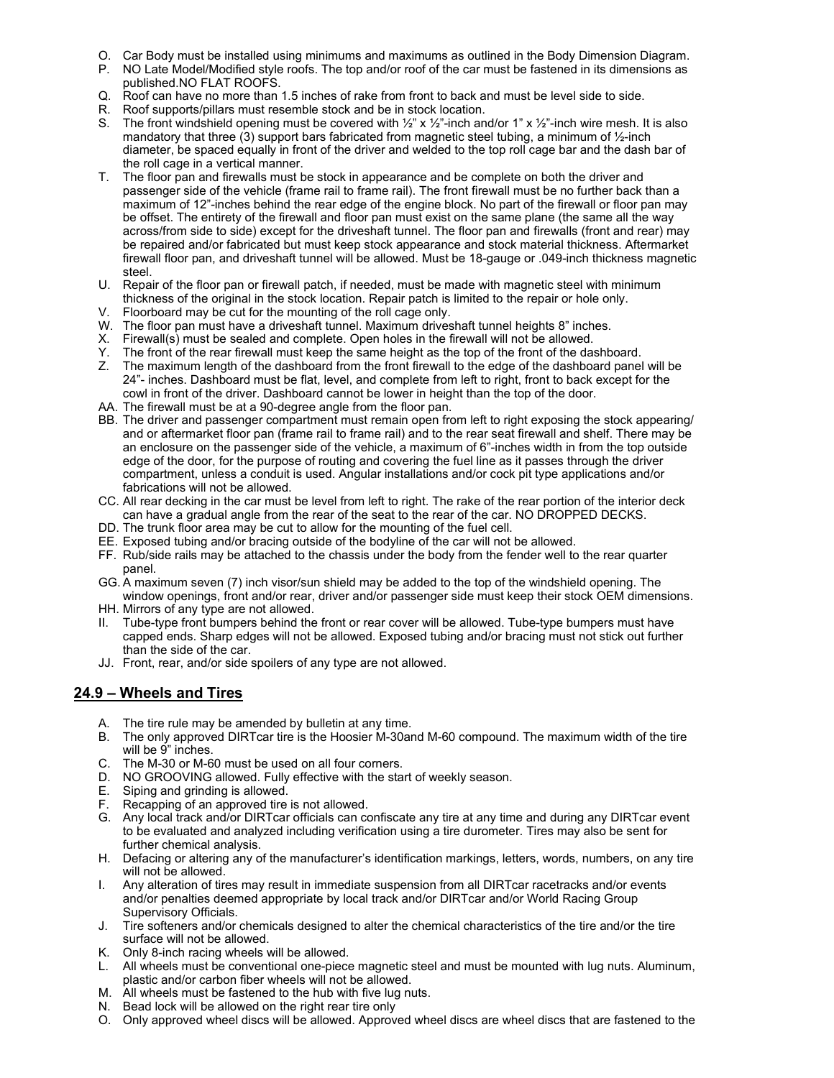- O. Car Body must be installed using minimums and maximums as outlined in the Body Dimension Diagram.
- P. NO Late Model/Modified style roofs. The top and/or roof of the car must be fastened in its dimensions as published.NO FLAT ROOFS.
- Q. Roof can have no more than 1.5 inches of rake from front to back and must be level side to side.
- R. Roof supports/pillars must resemble stock and be in stock location.
- S. The front windshield opening must be covered with  $\frac{1}{2}$ " x  $\frac{1}{2}$ "-inch and/or 1" x  $\frac{1}{2}$ "-inch wire mesh. It is also mandatory that three (3) support bars fabricated from magnetic steel tubing, a minimum of 1/2-inch diameter, be spaced equally in front of the driver and welded to the top roll cage bar and the dash bar of the roll cage in a vertical manner.
- T. The floor pan and firewalls must be stock in appearance and be complete on both the driver and passenger side of the vehicle (frame rail to frame rail). The front firewall must be no further back than a maximum of 12"-inches behind the rear edge of the engine block. No part of the firewall or floor pan may be offset. The entirety of the firewall and floor pan must exist on the same plane (the same all the way across/from side to side) except for the driveshaft tunnel. The floor pan and firewalls (front and rear) may be repaired and/or fabricated but must keep stock appearance and stock material thickness. Aftermarket firewall floor pan, and driveshaft tunnel will be allowed. Must be 18-gauge or .049-inch thickness magnetic steel.
- U. Repair of the floor pan or firewall patch, if needed, must be made with magnetic steel with minimum thickness of the original in the stock location. Repair patch is limited to the repair or hole only.
- V. Floorboard may be cut for the mounting of the roll cage only.
- W. The floor pan must have a driveshaft tunnel. Maximum driveshaft tunnel heights 8" inches.
- X. Firewall(s) must be sealed and complete. Open holes in the firewall will not be allowed.
- Y. The front of the rear firewall must keep the same height as the top of the front of the dashboard.
- Z. The maximum length of the dashboard from the front firewall to the edge of the dashboard panel will be 24"- inches. Dashboard must be flat, level, and complete from left to right, front to back except for the cowl in front of the driver. Dashboard cannot be lower in height than the top of the door.
- AA. The firewall must be at a 90-degree angle from the floor pan.
- BB. The driver and passenger compartment must remain open from left to right exposing the stock appearing/ and or aftermarket floor pan (frame rail to frame rail) and to the rear seat firewall and shelf. There may be an enclosure on the passenger side of the vehicle, a maximum of 6"-inches width in from the top outside edge of the door, for the purpose of routing and covering the fuel line as it passes through the driver compartment, unless a conduit is used. Angular installations and/or cock pit type applications and/or fabrications will not be allowed.
- CC. All rear decking in the car must be level from left to right. The rake of the rear portion of the interior deck can have a gradual angle from the rear of the seat to the rear of the car. NO DROPPED DECKS.
- DD. The trunk floor area may be cut to allow for the mounting of the fuel cell.
- EE. Exposed tubing and/or bracing outside of the bodyline of the car will not be allowed.
- FF. Rub/side rails may be attached to the chassis under the body from the fender well to the rear quarter panel.
- GG. A maximum seven (7) inch visor/sun shield may be added to the top of the windshield opening. The window openings, front and/or rear, driver and/or passenger side must keep their stock OEM dimensions.
- HH. Mirrors of any type are not allowed.
- II. Tube-type front bumpers behind the front or rear cover will be allowed. Tube-type bumpers must have capped ends. Sharp edges will not be allowed. Exposed tubing and/or bracing must not stick out further than the side of the car.
- JJ. Front, rear, and/or side spoilers of any type are not allowed.

## **24.9 – Wheels and Tires**

- A. The tire rule may be amended by bulletin at any time.
- B. The only approved DIRTcar tire is the Hoosier M-30and M-60 compound. The maximum width of the tire will be 9" inches.
- C. The M-30 or M-60 must be used on all four corners.
- D. NO GROOVING allowed. Fully effective with the start of weekly season.
- E. Siping and grinding is allowed.
- F. Recapping of an approved tire is not allowed.
- G. Any local track and/or DIRTcar officials can confiscate any tire at any time and during any DIRTcar event to be evaluated and analyzed including verification using a tire durometer. Tires may also be sent for further chemical analysis.
- H. Defacing or altering any of the manufacturer's identification markings, letters, words, numbers, on any tire will not be allowed.
- I. Any alteration of tires may result in immediate suspension from all DIRTcar racetracks and/or events and/or penalties deemed appropriate by local track and/or DIRTcar and/or World Racing Group Supervisory Officials.
- J. Tire softeners and/or chemicals designed to alter the chemical characteristics of the tire and/or the tire surface will not be allowed.
- K. Only 8-inch racing wheels will be allowed.
- L. All wheels must be conventional one-piece magnetic steel and must be mounted with lug nuts. Aluminum, plastic and/or carbon fiber wheels will not be allowed.
- M. All wheels must be fastened to the hub with five lug nuts.
- N. Bead lock will be allowed on the right rear tire only
- O. Only approved wheel discs will be allowed. Approved wheel discs are wheel discs that are fastened to the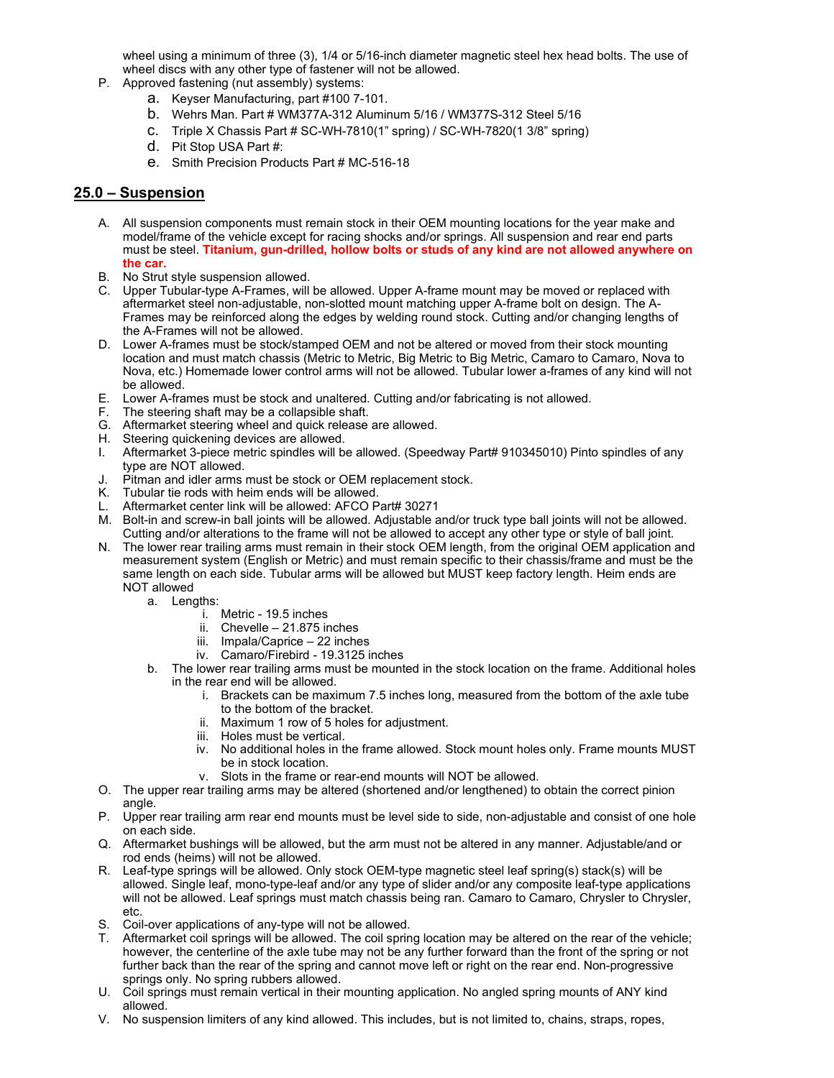wheel using a minimum of three (3), 1/4 or 5/16-inch diameter magnetic steel hex head bolts. The use of wheel discs with any other type of fastener will not be allowed.

- P. Approved fastening (nut assembly) systems:
	- a. Keyser Manufacturing, part #100 7-101.
	- b. Wehrs Man. Part # WM377A-312 Aluminum 5/16 / WM377S-312 Steel 5/16
	- c. Triple X Chassis Part # SC-WH-7810(1" spring) / SC-WH-7820(1 3/8" spring)
	- d. Pit Stop USA Part #:
	- e. Smith Precision Products Part # MC-516-18

### **25.0 – Suspension**

- A. All suspension components must remain stock in their OEM mounting locations for the year make and model/frame of the vehicle except for racing shocks and/or springs. All suspension and rear end parts must be steel. **Titanium, gun-drilled, hollow bolts or studs of any kind are not allowed anywhere on the car.**
- B. No Strut style suspension allowed.
- C. Upper Tubular-type A-Frames, will be allowed. Upper A-frame mount may be moved or replaced with aftermarket steel non-adjustable, non-slotted mount matching upper A-frame bolt on design. The A-Frames may be reinforced along the edges by welding round stock. Cutting and/or changing lengths of the A-Frames will not be allowed.
- D. Lower A-frames must be stock/stamped OEM and not be altered or moved from their stock mounting location and must match chassis (Metric to Metric, Big Metric to Big Metric, Camaro to Camaro, Nova to Nova, etc.) Homemade lower control arms will not be allowed. Tubular lower a-frames of any kind will not be allowed.
- E. Lower A-frames must be stock and unaltered. Cutting and/or fabricating is not allowed.
- F. The steering shaft may be a collapsible shaft.
- G. Aftermarket steering wheel and quick release are allowed.
- H. Steering quickening devices are allowed.
- I. Aftermarket 3-piece metric spindles will be allowed. (Speedway Part# 910345010) Pinto spindles of any type are NOT allowed.
- J. Pitman and idler arms must be stock or OEM replacement stock.
- K. Tubular tie rods with heim ends will be allowed.
- L. Aftermarket center link will be allowed: AFCO Part# 30271
- M. Bolt-in and screw-in ball joints will be allowed. Adjustable and/or truck type ball joints will not be allowed. Cutting and/or alterations to the frame will not be allowed to accept any other type or style of ball joint.
- N. The lower rear trailing arms must remain in their stock OEM length, from the original OEM application and measurement system (English or Metric) and must remain specific to their chassis/frame and must be the same length on each side. Tubular arms will be allowed but MUST keep factory length. Heim ends are NOT allowed
	- a. Lengths:
		- i. Metric 19.5 inches
		- ii. Chevelle 21.875 inches
		- iii. Impala/Caprice 22 inches
		- iv. Camaro/Firebird 19.3125 inches
		- b. The lower rear trailing arms must be mounted in the stock location on the frame. Additional holes in the rear end will be allowed.
			- i. Brackets can be maximum 7.5 inches long, measured from the bottom of the axle tube to the bottom of the bracket.
			- ii. Maximum 1 row of 5 holes for adjustment.
			- iii. Holes must be vertical.
			- iv. No additional holes in the frame allowed. Stock mount holes only. Frame mounts MUST be in stock location.
			- v. Slots in the frame or rear-end mounts will NOT be allowed.
- O. The upper rear trailing arms may be altered (shortened and/or lengthened) to obtain the correct pinion angle.
- P. Upper rear trailing arm rear end mounts must be level side to side, non-adjustable and consist of one hole on each side.
- Q. Aftermarket bushings will be allowed, but the arm must not be altered in any manner. Adjustable/and or rod ends (heims) will not be allowed.
- R. Leaf-type springs will be allowed. Only stock OEM-type magnetic steel leaf spring(s) stack(s) will be allowed. Single leaf, mono-type-leaf and/or any type of slider and/or any composite leaf-type applications will not be allowed. Leaf springs must match chassis being ran. Camaro to Camaro, Chrysler to Chrysler, etc.
- S. Coil-over applications of any-type will not be allowed.
- T. Aftermarket coil springs will be allowed. The coil spring location may be altered on the rear of the vehicle; however, the centerline of the axle tube may not be any further forward than the front of the spring or not further back than the rear of the spring and cannot move left or right on the rear end. Non-progressive springs only. No spring rubbers allowed.
- U. Coil springs must remain vertical in their mounting application. No angled spring mounts of ANY kind allowed.
- V. No suspension limiters of any kind allowed. This includes, but is not limited to, chains, straps, ropes,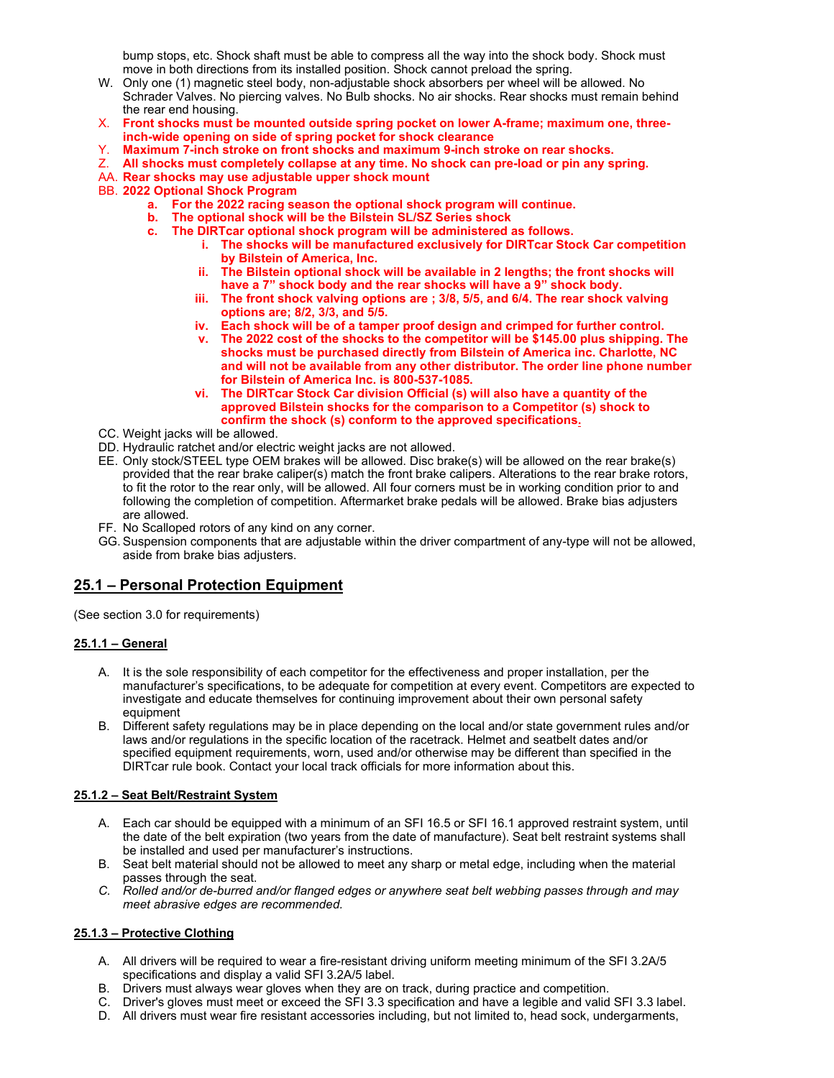bump stops, etc. Shock shaft must be able to compress all the way into the shock body. Shock must move in both directions from its installed position. Shock cannot preload the spring.

- W. Only one (1) magnetic steel body, non-adjustable shock absorbers per wheel will be allowed. No Schrader Valves. No piercing valves. No Bulb shocks. No air shocks. Rear shocks must remain behind the rear end housing.
- X. **Front shocks must be mounted outside spring pocket on lower A-frame; maximum one, threeinch-wide opening on side of spring pocket for shock clearance**
- Y. **Maximum 7-inch stroke on front shocks and maximum 9-inch stroke on rear shocks.**
- Z. **All shocks must completely collapse at any time. No shock can pre-load or pin any spring.**
- AA. **Rear shocks may use adjustable upper shock mount**
- BB. **2022 Optional Shock Program**
	- **a. For the 2022 racing season the optional shock program will continue.**
	- **b. The optional shock will be the Bilstein SL/SZ Series shock**
	- **c. The DIRTcar optional shock program will be administered as follows.**
		- **i. The shocks will be manufactured exclusively for DIRTcar Stock Car competition by Bilstein of America, Inc.**
		- **ii. The Bilstein optional shock will be available in 2 lengths; the front shocks will have a 7" shock body and the rear shocks will have a 9" shock body.**
		- **iii. The front shock valving options are ; 3/8, 5/5, and 6/4. The rear shock valving options are; 8/2, 3/3, and 5/5.**
		- **iv. Each shock will be of a tamper proof design and crimped for further control.**
		- **v. The 2022 cost of the shocks to the competitor will be \$145.00 plus shipping. The shocks must be purchased directly from Bilstein of America inc. Charlotte, NC and will not be available from any other distributor. The order line phone number for Bilstein of America Inc. is 800-537-1085.**
		- **vi. The DIRTcar Stock Car division Official (s) will also have a quantity of the approved Bilstein shocks for the comparison to a Competitor (s) shock to confirm the shock (s) conform to the approved specifications.**
- CC. Weight jacks will be allowed.
- DD. Hydraulic ratchet and/or electric weight jacks are not allowed.
- EE. Only stock/STEEL type OEM brakes will be allowed. Disc brake(s) will be allowed on the rear brake(s) provided that the rear brake caliper(s) match the front brake calipers. Alterations to the rear brake rotors, to fit the rotor to the rear only, will be allowed. All four corners must be in working condition prior to and following the completion of competition. Aftermarket brake pedals will be allowed. Brake bias adjusters are allowed.
- FF. No Scalloped rotors of any kind on any corner.
- GG. Suspension components that are adjustable within the driver compartment of any-type will not be allowed, aside from brake bias adjusters.

## **25.1 – Personal Protection Equipment**

(See section 3.0 for requirements)

#### **25.1.1 – General**

- A. It is the sole responsibility of each competitor for the effectiveness and proper installation, per the manufacturer's specifications, to be adequate for competition at every event. Competitors are expected to investigate and educate themselves for continuing improvement about their own personal safety equipment
- B. Different safety regulations may be in place depending on the local and/or state government rules and/or laws and/or regulations in the specific location of the racetrack. Helmet and seatbelt dates and/or specified equipment requirements, worn, used and/or otherwise may be different than specified in the DIRTcar rule book. Contact your local track officials for more information about this.

#### **25.1.2 – Seat Belt/Restraint System**

- A. Each car should be equipped with a minimum of an SFI 16.5 or SFI 16.1 approved restraint system, until the date of the belt expiration (two years from the date of manufacture). Seat belt restraint systems shall be installed and used per manufacturer's instructions.
- B. Seat belt material should not be allowed to meet any sharp or metal edge, including when the material passes through the seat.
- *C. Rolled and/or de-burred and/or flanged edges or anywhere seat belt webbing passes through and may meet abrasive edges are recommended.*

#### **25.1.3 – Protective Clothing**

- A. All drivers will be required to wear a fire-resistant driving uniform meeting minimum of the SFI 3.2A/5 specifications and display a valid SFI 3.2A/5 label.
- B. Drivers must always wear gloves when they are on track, during practice and competition.
- C. Driver's gloves must meet or exceed the SFI 3.3 specification and have a legible and valid SFI 3.3 label.
- D. All drivers must wear fire resistant accessories including, but not limited to, head sock, undergarments,